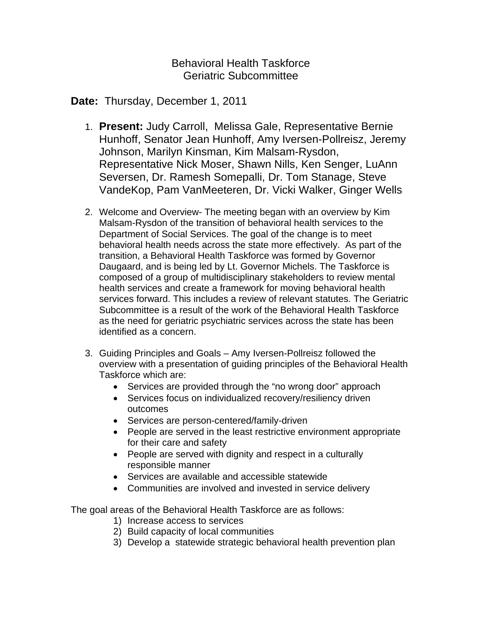Behavioral Health Taskforce Geriatric Subcommittee

## **Date:** Thursday, December 1, 2011

- 1. **Present:** Judy Carroll, Melissa Gale, Representative Bernie Hunhoff, Senator Jean Hunhoff, Amy Iversen-Pollreisz, Jeremy Johnson, Marilyn Kinsman, Kim Malsam-Rysdon, Representative Nick Moser, Shawn Nills, Ken Senger, LuAnn Seversen, Dr. Ramesh Somepalli, Dr. Tom Stanage, Steve VandeKop, Pam VanMeeteren, Dr. Vicki Walker, Ginger Wells
- 2. Welcome and Overview- The meeting began with an overview by Kim Malsam-Rysdon of the transition of behavioral health services to the Department of Social Services. The goal of the change is to meet behavioral health needs across the state more effectively. As part of the transition, a Behavioral Health Taskforce was formed by Governor Daugaard, and is being led by Lt. Governor Michels. The Taskforce is composed of a group of multidisciplinary stakeholders to review mental health services and create a framework for moving behavioral health services forward. This includes a review of relevant statutes. The Geriatric Subcommittee is a result of the work of the Behavioral Health Taskforce as the need for geriatric psychiatric services across the state has been identified as a concern.
- 3. Guiding Principles and Goals Amy Iversen-Pollreisz followed the overview with a presentation of guiding principles of the Behavioral Health Taskforce which are:
	- Services are provided through the "no wrong door" approach
	- Services focus on individualized recovery/resiliency driven outcomes
	- Services are person-centered/family-driven
	- People are served in the least restrictive environment appropriate for their care and safety
	- People are served with dignity and respect in a culturally responsible manner
	- Services are available and accessible statewide
	- Communities are involved and invested in service delivery

The goal areas of the Behavioral Health Taskforce are as follows:

- 1) Increase access to services
- 2) Build capacity of local communities
- 3) Develop a statewide strategic behavioral health prevention plan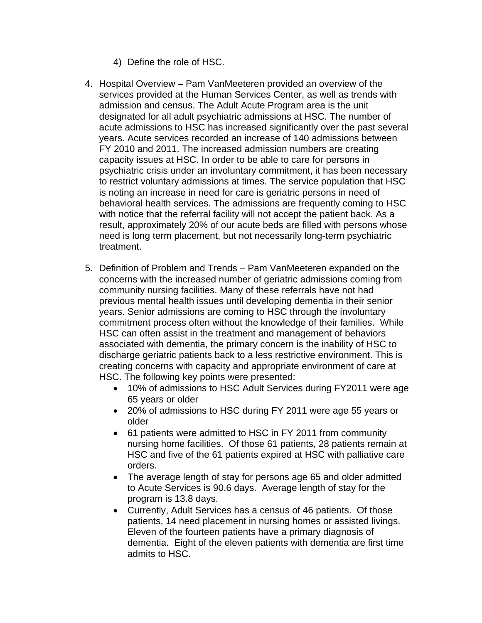- 4) Define the role of HSC.
- 4. Hospital Overview Pam VanMeeteren provided an overview of the services provided at the Human Services Center, as well as trends with admission and census. The Adult Acute Program area is the unit designated for all adult psychiatric admissions at HSC. The number of acute admissions to HSC has increased significantly over the past several years. Acute services recorded an increase of 140 admissions between FY 2010 and 2011. The increased admission numbers are creating capacity issues at HSC. In order to be able to care for persons in psychiatric crisis under an involuntary commitment, it has been necessary to restrict voluntary admissions at times. The service population that HSC is noting an increase in need for care is geriatric persons in need of behavioral health services. The admissions are frequently coming to HSC with notice that the referral facility will not accept the patient back. As a result, approximately 20% of our acute beds are filled with persons whose need is long term placement, but not necessarily long-term psychiatric treatment.
- 5. Definition of Problem and Trends Pam VanMeeteren expanded on the concerns with the increased number of geriatric admissions coming from community nursing facilities. Many of these referrals have not had previous mental health issues until developing dementia in their senior years. Senior admissions are coming to HSC through the involuntary commitment process often without the knowledge of their families. While HSC can often assist in the treatment and management of behaviors associated with dementia, the primary concern is the inability of HSC to discharge geriatric patients back to a less restrictive environment. This is creating concerns with capacity and appropriate environment of care at HSC. The following key points were presented:
	- 10% of admissions to HSC Adult Services during FY2011 were age 65 years or older
	- 20% of admissions to HSC during FY 2011 were age 55 years or older
	- 61 patients were admitted to HSC in FY 2011 from community nursing home facilities. Of those 61 patients, 28 patients remain at HSC and five of the 61 patients expired at HSC with palliative care orders.
	- The average length of stay for persons age 65 and older admitted to Acute Services is 90.6 days. Average length of stay for the program is 13.8 days.
	- Currently, Adult Services has a census of 46 patients. Of those patients, 14 need placement in nursing homes or assisted livings. Eleven of the fourteen patients have a primary diagnosis of dementia. Eight of the eleven patients with dementia are first time admits to HSC.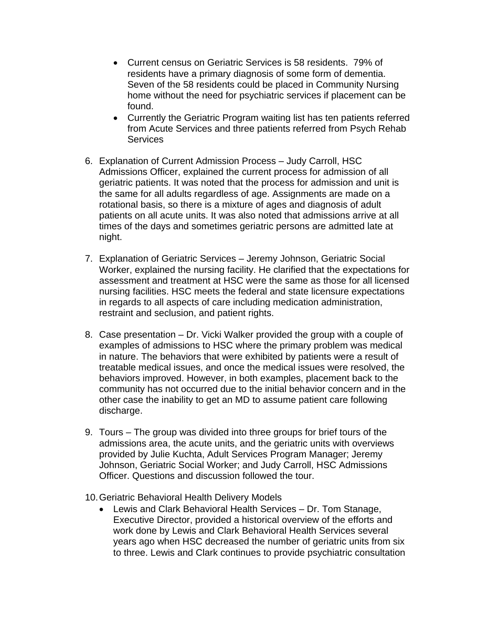- Current census on Geriatric Services is 58 residents. 79% of residents have a primary diagnosis of some form of dementia. Seven of the 58 residents could be placed in Community Nursing home without the need for psychiatric services if placement can be found.
- Currently the Geriatric Program waiting list has ten patients referred from Acute Services and three patients referred from Psych Rehab **Services**
- 6. Explanation of Current Admission Process Judy Carroll, HSC Admissions Officer, explained the current process for admission of all geriatric patients. It was noted that the process for admission and unit is the same for all adults regardless of age. Assignments are made on a rotational basis, so there is a mixture of ages and diagnosis of adult patients on all acute units. It was also noted that admissions arrive at all times of the days and sometimes geriatric persons are admitted late at night.
- 7. Explanation of Geriatric Services Jeremy Johnson, Geriatric Social Worker, explained the nursing facility. He clarified that the expectations for assessment and treatment at HSC were the same as those for all licensed nursing facilities. HSC meets the federal and state licensure expectations in regards to all aspects of care including medication administration, restraint and seclusion, and patient rights.
- 8. Case presentation Dr. Vicki Walker provided the group with a couple of examples of admissions to HSC where the primary problem was medical in nature. The behaviors that were exhibited by patients were a result of treatable medical issues, and once the medical issues were resolved, the behaviors improved. However, in both examples, placement back to the community has not occurred due to the initial behavior concern and in the other case the inability to get an MD to assume patient care following discharge.
- 9. Tours The group was divided into three groups for brief tours of the admissions area, the acute units, and the geriatric units with overviews provided by Julie Kuchta, Adult Services Program Manager; Jeremy Johnson, Geriatric Social Worker; and Judy Carroll, HSC Admissions Officer. Questions and discussion followed the tour.
- 10. Geriatric Behavioral Health Delivery Models
	- Lewis and Clark Behavioral Health Services Dr. Tom Stanage, Executive Director, provided a historical overview of the efforts and work done by Lewis and Clark Behavioral Health Services several years ago when HSC decreased the number of geriatric units from six to three. Lewis and Clark continues to provide psychiatric consultation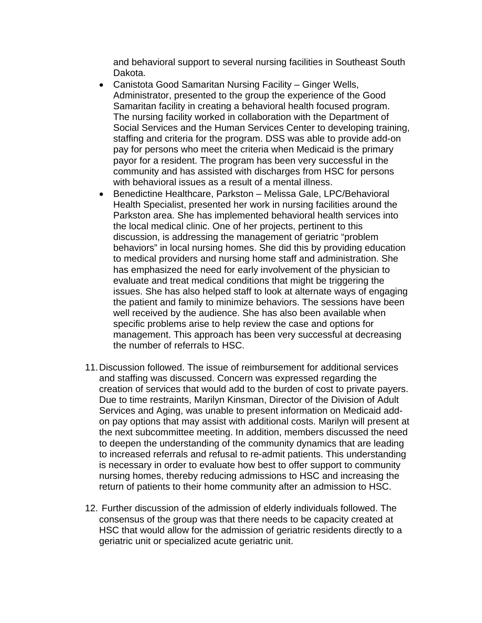and behavioral support to several nursing facilities in Southeast South Dakota.

- Canistota Good Samaritan Nursing Facility Ginger Wells, Administrator, presented to the group the experience of the Good Samaritan facility in creating a behavioral health focused program. The nursing facility worked in collaboration with the Department of Social Services and the Human Services Center to developing training, staffing and criteria for the program. DSS was able to provide add-on pay for persons who meet the criteria when Medicaid is the primary payor for a resident. The program has been very successful in the community and has assisted with discharges from HSC for persons with behavioral issues as a result of a mental illness.
- Benedictine Healthcare, Parkston Melissa Gale, LPC/Behavioral Health Specialist, presented her work in nursing facilities around the Parkston area. She has implemented behavioral health services into the local medical clinic. One of her projects, pertinent to this discussion, is addressing the management of geriatric "problem behaviors" in local nursing homes. She did this by providing education to medical providers and nursing home staff and administration. She has emphasized the need for early involvement of the physician to evaluate and treat medical conditions that might be triggering the issues. She has also helped staff to look at alternate ways of engaging the patient and family to minimize behaviors. The sessions have been well received by the audience. She has also been available when specific problems arise to help review the case and options for management. This approach has been very successful at decreasing the number of referrals to HSC.
- 11. Discussion followed. The issue of reimbursement for additional services and staffing was discussed. Concern was expressed regarding the creation of services that would add to the burden of cost to private payers. Due to time restraints, Marilyn Kinsman, Director of the Division of Adult Services and Aging, was unable to present information on Medicaid addon pay options that may assist with additional costs. Marilyn will present at the next subcommittee meeting. In addition, members discussed the need to deepen the understanding of the community dynamics that are leading to increased referrals and refusal to re-admit patients. This understanding is necessary in order to evaluate how best to offer support to community nursing homes, thereby reducing admissions to HSC and increasing the return of patients to their home community after an admission to HSC.
- 12. Further discussion of the admission of elderly individuals followed. The consensus of the group was that there needs to be capacity created at HSC that would allow for the admission of geriatric residents directly to a geriatric unit or specialized acute geriatric unit.